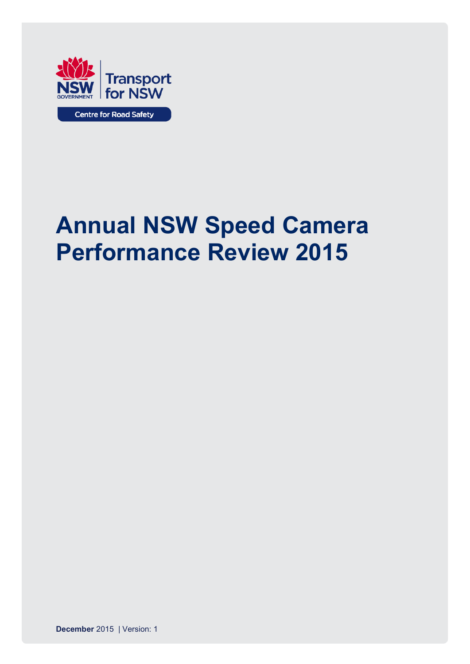

# **Annual NSW Speed Camera Performance Review 2015**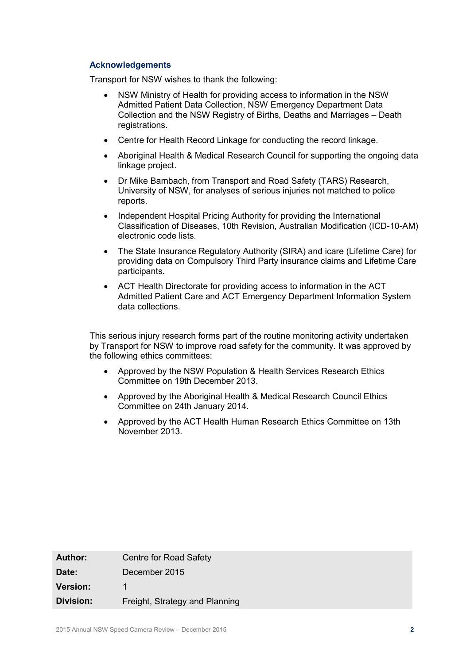#### **Acknowledgements**

Transport for NSW wishes to thank the following:

- NSW Ministry of Health for providing access to information in the NSW Admitted Patient Data Collection, NSW Emergency Department Data Collection and the NSW Registry of Births, Deaths and Marriages – Death registrations.
- Centre for Health Record Linkage for conducting the record linkage.
- Aboriginal Health & Medical Research Council for supporting the ongoing data linkage project.
- Dr Mike Bambach, from Transport and Road Safety (TARS) Research, University of NSW, for analyses of serious injuries not matched to police reports.
- Independent Hospital Pricing Authority for providing the International Classification of Diseases, 10th Revision, Australian Modification (ICD-10-AM) electronic code lists.
- The State Insurance Regulatory Authority (SIRA) and icare (Lifetime Care) for providing data on Compulsory Third Party insurance claims and Lifetime Care participants.
- ACT Health Directorate for providing access to information in the ACT Admitted Patient Care and ACT Emergency Department Information System data collections.

This serious injury research forms part of the routine monitoring activity undertaken by Transport for NSW to improve road safety for the community. It was approved by the following ethics committees:

- Approved by the NSW Population & Health Services Research Ethics Committee on 19th December 2013.
- Approved by the Aboriginal Health & Medical Research Council Ethics Committee on 24th January 2014.
- Approved by the ACT Health Human Research Ethics Committee on 13th November 2013.

| <b>Author:</b>   | Centre for Road Safety         |
|------------------|--------------------------------|
| Date:            | December 2015                  |
| <b>Version:</b>  |                                |
| <b>Division:</b> | Freight, Strategy and Planning |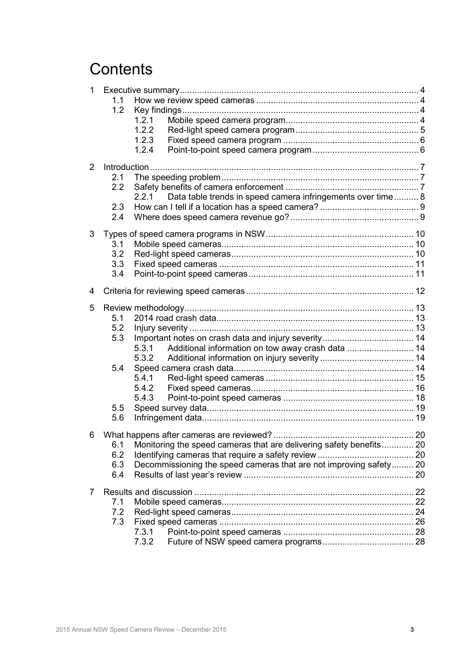## **Contents**

| 1              |     |                                                                      |  |
|----------------|-----|----------------------------------------------------------------------|--|
|                | 1.1 |                                                                      |  |
|                | 1.2 |                                                                      |  |
|                |     | 1.2.1                                                                |  |
|                |     | 1.2.2                                                                |  |
|                |     | 1.2.3                                                                |  |
|                |     | 1.2.4                                                                |  |
| $\overline{2}$ |     |                                                                      |  |
|                | 2.1 |                                                                      |  |
|                | 2.2 |                                                                      |  |
|                |     | Data table trends in speed camera infringements over time 8<br>2.2.1 |  |
|                | 2.3 |                                                                      |  |
|                | 2.4 |                                                                      |  |
| 3              |     |                                                                      |  |
|                | 3.1 |                                                                      |  |
|                | 3.2 |                                                                      |  |
|                | 3.3 |                                                                      |  |
|                | 3.4 |                                                                      |  |
| 4              |     |                                                                      |  |
| 5              |     |                                                                      |  |
|                | 5.1 |                                                                      |  |
|                | 5.2 |                                                                      |  |
|                | 5.3 |                                                                      |  |
|                |     | Additional information on tow away crash data  14<br>5.3.1           |  |
|                |     |                                                                      |  |
|                | 5.4 |                                                                      |  |
|                |     | 5.4.1                                                                |  |
|                |     | 5.4.2                                                                |  |
|                |     | 5.4.3                                                                |  |
|                | 5.5 |                                                                      |  |
|                | 5.6 |                                                                      |  |
| 6              |     |                                                                      |  |
|                | 6.1 | Monitoring the speed cameras that are delivering safety benefits 20  |  |
|                | 6.2 |                                                                      |  |
|                | 6.3 | Decommissioning the speed cameras that are not improving safety 20   |  |
|                | 6.4 |                                                                      |  |
| 7              |     |                                                                      |  |
|                | 7.1 |                                                                      |  |
|                | 7.2 |                                                                      |  |
|                | 7.3 |                                                                      |  |
|                |     | 7.3.1                                                                |  |
|                |     | 7.3.2                                                                |  |
|                |     |                                                                      |  |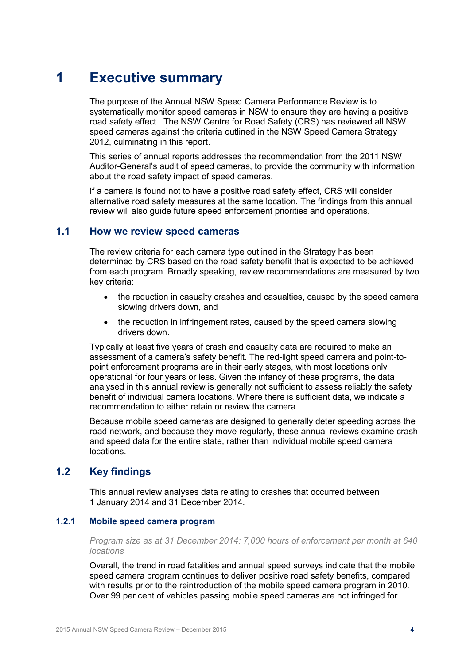## <span id="page-3-0"></span>**1 Executive summary**

The purpose of the Annual NSW Speed Camera Performance Review is to systematically monitor speed cameras in NSW to ensure they are having a positive road safety effect. The NSW Centre for Road Safety (CRS) has reviewed all NSW speed cameras against the criteria outlined in the NSW Speed Camera Strategy 2012, culminating in this report.

This series of annual reports addresses the recommendation from the 2011 NSW Auditor-General's audit of speed cameras, to provide the community with information about the road safety impact of speed cameras.

If a camera is found not to have a positive road safety effect, CRS will consider alternative road safety measures at the same location. The findings from this annual review will also guide future speed enforcement priorities and operations.

#### <span id="page-3-1"></span>**1.1 How we review speed cameras**

The review criteria for each camera type outlined in the Strategy has been determined by CRS based on the road safety benefit that is expected to be achieved from each program. Broadly speaking, review recommendations are measured by two key criteria:

- the reduction in casualty crashes and casualties, caused by the speed camera slowing drivers down, and
- the reduction in infringement rates, caused by the speed camera slowing drivers down.

Typically at least five years of crash and casualty data are required to make an assessment of a camera's safety benefit. The red-light speed camera and point-topoint enforcement programs are in their early stages, with most locations only operational for four years or less. Given the infancy of these programs, the data analysed in this annual review is generally not sufficient to assess reliably the safety benefit of individual camera locations. Where there is sufficient data, we indicate a recommendation to either retain or review the camera.

Because mobile speed cameras are designed to generally deter speeding across the road network, and because they move regularly, these annual reviews examine crash and speed data for the entire state, rather than individual mobile speed camera locations.

## <span id="page-3-2"></span>**1.2 Key findings**

This annual review analyses data relating to crashes that occurred between 1 January 2014 and 31 December 2014.

#### <span id="page-3-3"></span>**1.2.1 Mobile speed camera program**

*Program size as at 31 December 2014: 7,000 hours of enforcement per month at 640 locations*

Overall, the trend in road fatalities and annual speed surveys indicate that the mobile speed camera program continues to deliver positive road safety benefits, compared with results prior to the reintroduction of the mobile speed camera program in 2010. Over 99 per cent of vehicles passing mobile speed cameras are not infringed for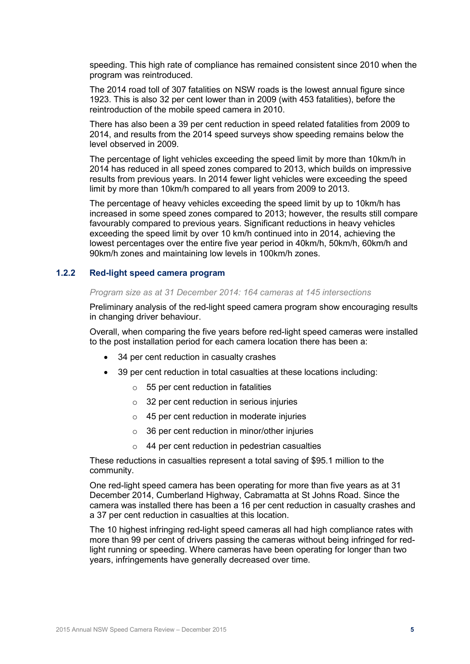speeding. This high rate of compliance has remained consistent since 2010 when the program was reintroduced.

The 2014 road toll of 307 fatalities on NSW roads is the lowest annual figure since 1923. This is also 32 per cent lower than in 2009 (with 453 fatalities), before the reintroduction of the mobile speed camera in 2010.

There has also been a 39 per cent reduction in speed related fatalities from 2009 to 2014, and results from the 2014 speed surveys show speeding remains below the level observed in 2009.

The percentage of light vehicles exceeding the speed limit by more than 10km/h in 2014 has reduced in all speed zones compared to 2013, which builds on impressive results from previous years. In 2014 fewer light vehicles were exceeding the speed limit by more than 10km/h compared to all years from 2009 to 2013.

The percentage of heavy vehicles exceeding the speed limit by up to 10km/h has increased in some speed zones compared to 2013; however, the results still compare favourably compared to previous years. Significant reductions in heavy vehicles exceeding the speed limit by over 10 km/h continued into in 2014, achieving the lowest percentages over the entire five year period in 40km/h, 50km/h, 60km/h and 90km/h zones and maintaining low levels in 100km/h zones.

#### <span id="page-4-0"></span>**1.2.2 Red-light speed camera program**

#### *Program size as at 31 December 2014: 164 cameras at 145 intersections*

Preliminary analysis of the red-light speed camera program show encouraging results in changing driver behaviour.

Overall, when comparing the five years before red-light speed cameras were installed to the post installation period for each camera location there has been a:

- 34 per cent reduction in casualty crashes
- 39 per cent reduction in total casualties at these locations including:
	- $\circ$  55 per cent reduction in fatalities
	- $\circ$  32 per cent reduction in serious injuries
	- o 45 per cent reduction in moderate injuries
	- $\circ$  36 per cent reduction in minor/other injuries
	- o 44 per cent reduction in pedestrian casualties

These reductions in casualties represent a total saving of \$95.1 million to the community.

One red-light speed camera has been operating for more than five years as at 31 December 2014, Cumberland Highway, Cabramatta at St Johns Road. Since the camera was installed there has been a 16 per cent reduction in casualty crashes and a 37 per cent reduction in casualties at this location.

The 10 highest infringing red-light speed cameras all had high compliance rates with more than 99 per cent of drivers passing the cameras without being infringed for redlight running or speeding. Where cameras have been operating for longer than two years, infringements have generally decreased over time.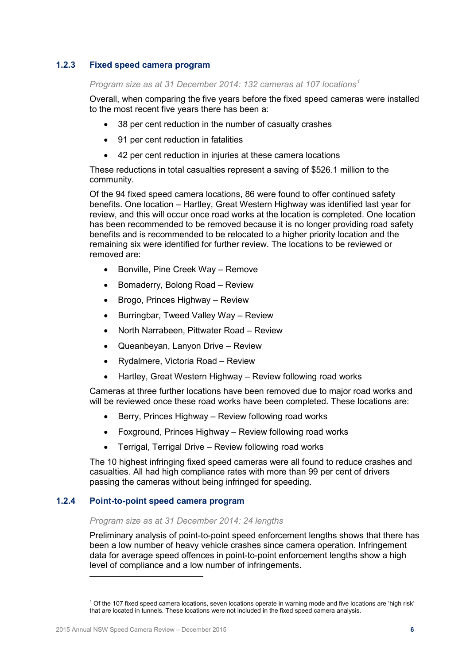### <span id="page-5-0"></span>**1.2.3 Fixed speed camera program**

*Program size as at 31 December 2014: 132 cameras at 107 locations[1](#page-5-2)*

Overall, when comparing the five years before the fixed speed cameras were installed to the most recent five years there has been a:

- 38 per cent reduction in the number of casualty crashes
- 91 per cent reduction in fatalities
- 42 per cent reduction in injuries at these camera locations

These reductions in total casualties represent a saving of \$526.1 million to the community.

Of the 94 fixed speed camera locations, 86 were found to offer continued safety benefits. One location – Hartley, Great Western Highway was identified last year for review, and this will occur once road works at the location is completed. One location has been recommended to be removed because it is no longer providing road safety benefits and is recommended to be relocated to a higher priority location and the remaining six were identified for further review. The locations to be reviewed or removed are:

- Bonville, Pine Creek Way Remove
- Bomaderry, Bolong Road Review
- Brogo, Princes Highway Review
- Burringbar, Tweed Valley Way Review
- North Narrabeen, Pittwater Road Review
- Queanbeyan, Lanyon Drive Review
- Rydalmere, Victoria Road Review
- Hartley, Great Western Highway Review following road works

Cameras at three further locations have been removed due to major road works and will be reviewed once these road works have been completed. These locations are:

- Berry, Princes Highway Review following road works
- Foxground, Princes Highway Review following road works
- Terrigal, Terrigal Drive Review following road works

The 10 highest infringing fixed speed cameras were all found to reduce crashes and casualties. All had high compliance rates with more than 99 per cent of drivers passing the cameras without being infringed for speeding.

#### <span id="page-5-1"></span>**1.2.4 Point-to-point speed camera program**

#### *Program size as at 31 December 2014: 24 lengths*

Preliminary analysis of point-to-point speed enforcement lengths shows that there has been a low number of heavy vehicle crashes since camera operation. Infringement data for average speed offences in point-to-point enforcement lengths show a high level of compliance and a low number of infringements.

<span id="page-5-2"></span> $1$  Of the 107 fixed speed camera locations, seven locations operate in warning mode and five locations are 'high risk' that are located in tunnels. These locations were not included in the fixed speed camera analysis.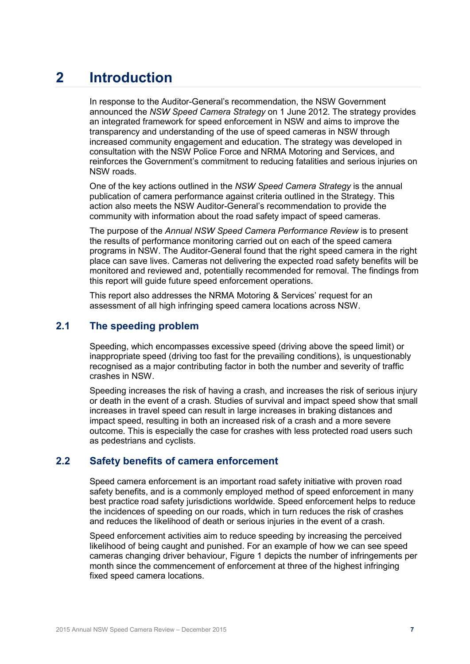## <span id="page-6-0"></span>**2 Introduction**

In response to the Auditor-General's recommendation, the NSW Government announced the *NSW Speed Camera Strategy* on 1 June 2012. The strategy provides an integrated framework for speed enforcement in NSW and aims to improve the transparency and understanding of the use of speed cameras in NSW through increased community engagement and education. The strategy was developed in consultation with the NSW Police Force and NRMA Motoring and Services, and reinforces the Government's commitment to reducing fatalities and serious injuries on NSW roads.

One of the key actions outlined in the *NSW Speed Camera Strategy* is the annual publication of camera performance against criteria outlined in the Strategy. This action also meets the NSW Auditor-General's recommendation to provide the community with information about the road safety impact of speed cameras.

The purpose of the *Annual NSW Speed Camera Performance Review* is to present the results of performance monitoring carried out on each of the speed camera programs in NSW. The Auditor-General found that the right speed camera in the right place can save lives. Cameras not delivering the expected road safety benefits will be monitored and reviewed and, potentially recommended for removal. The findings from this report will guide future speed enforcement operations.

This report also addresses the NRMA Motoring & Services' request for an assessment of all high infringing speed camera locations across NSW.

## <span id="page-6-1"></span>**2.1 The speeding problem**

Speeding, which encompasses excessive speed (driving above the speed limit) or inappropriate speed (driving too fast for the prevailing conditions), is unquestionably recognised as a major contributing factor in both the number and severity of traffic crashes in NSW.

Speeding increases the risk of having a crash, and increases the risk of serious injury or death in the event of a crash. Studies of survival and impact speed show that small increases in travel speed can result in large increases in braking distances and impact speed, resulting in both an increased risk of a crash and a more severe outcome. This is especially the case for crashes with less protected road users such as pedestrians and cyclists.

### <span id="page-6-2"></span>**2.2 Safety benefits of camera enforcement**

Speed camera enforcement is an important road safety initiative with proven road safety benefits, and is a commonly employed method of speed enforcement in many best practice road safety jurisdictions worldwide. Speed enforcement helps to reduce the incidences of speeding on our roads, which in turn reduces the risk of crashes and reduces the likelihood of death or serious injuries in the event of a crash.

Speed enforcement activities aim to reduce speeding by increasing the perceived likelihood of being caught and punished. For an example of how we can see speed cameras changing driver behaviour, Figure 1 depicts the number of infringements per month since the commencement of enforcement at three of the highest infringing fixed speed camera locations.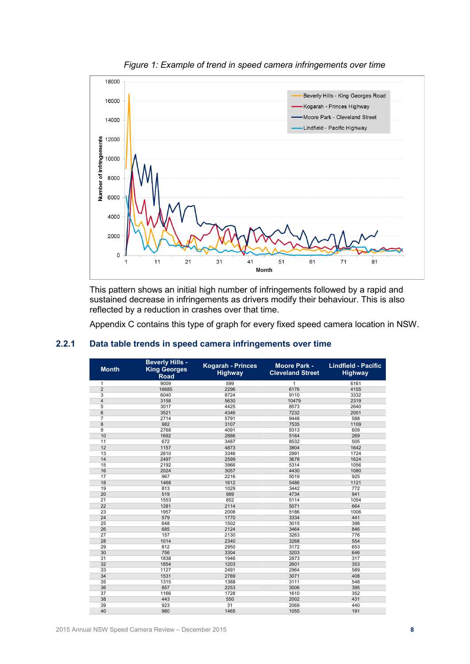

*Figure 1: Example of trend in speed camera infringements over time*

This pattern shows an initial high number of infringements followed by a rapid and sustained decrease in infringements as drivers modify their behaviour. This is also reflected by a reduction in crashes over that time.

Appendix C contains this type of graph for every fixed speed camera location in NSW.

| <b>Month</b>   | <b>Beverly Hills -</b><br><b>King Georges</b><br><b>Road</b> | <b>Kogarah - Princes</b><br><b>Highway</b> | <b>Moore Park -</b><br><b>Cleveland Street</b> | <b>Lindfield - Pacific</b><br><b>Highway</b> |
|----------------|--------------------------------------------------------------|--------------------------------------------|------------------------------------------------|----------------------------------------------|
| 1              | 9009                                                         | 599                                        | 1                                              | 6161                                         |
| $\overline{2}$ | 16685                                                        | 2296                                       | 6176                                           | 4155                                         |
| $\overline{3}$ | 6040                                                         | 8724                                       | 9110                                           | 3332                                         |
| $\overline{4}$ | 3158                                                         | 5630                                       | 10479                                          | 2319                                         |
| 5              | 3017                                                         | 4425                                       | 8573                                           | 2640                                         |
| 6              | 3521                                                         | 4346                                       | 7232                                           | 2001                                         |
| $\overline{7}$ | 2714                                                         | 5791                                       | 9448                                           | 588                                          |
| 8              | 982                                                          | 3107                                       | 7535                                           | 1109                                         |
| 9              | 2768                                                         | 4091                                       | 9313                                           | 609                                          |
| 10             | 1692                                                         | 2886                                       | 5164                                           | 269                                          |
| 11             | 672                                                          | 3487                                       | 8532                                           | 505                                          |
| 12             | 1157                                                         | 4873                                       | 3804                                           | 1642                                         |
| 13             | 2610                                                         | 3346                                       | 2991                                           | 1724                                         |
| 14             | 2497                                                         | 2599                                       | 3678                                           | 1624                                         |
| 15             | 2192                                                         | 3966                                       | 5314                                           | 1056                                         |
| 16             | 2024                                                         | 3057                                       | 4430                                           | 1080                                         |
| 17             | 967                                                          | 2216                                       | 5019                                           | 925                                          |
| 18             | 1468                                                         | 1612                                       | 5486                                           | 1121                                         |
| 19             | 813                                                          | 1029                                       | 3442                                           | 772                                          |
| 20             | 519                                                          | 989                                        | 4734                                           | 941                                          |
| 21             | 1553                                                         | 852                                        | 5114                                           | 1054                                         |
| 22             | 1281                                                         | 2114                                       | 5071                                           | 664                                          |
| 23             | 1957                                                         | 2008                                       | 5186                                           | 1006                                         |
| 24             | 579                                                          | 1770                                       | 3334                                           | 441                                          |
| 25             | 648                                                          | 1502                                       | 3015                                           | 398                                          |
| 26             | 685                                                          | 2124                                       | 3464                                           | 846                                          |
| 27             | 157                                                          | 2130                                       | 3263                                           | 776                                          |
| 28             | 1014                                                         | 2340                                       | 3268                                           | 554                                          |
| 29             | 812                                                          | 2950                                       | 3172                                           | 653                                          |
| 30             | 756                                                          | 3304                                       | 3203                                           | 646                                          |
| 31             | 1838                                                         | 1946                                       | 2873                                           | 317                                          |
| 32             | 1854                                                         | 1203                                       | 2601                                           | 353                                          |
| 33             | 1127                                                         | 2491                                       | 2964                                           | 589                                          |
| 34             | 1531                                                         | 2789                                       | 3071                                           | 408                                          |
| 35             | 1315                                                         | 1388                                       | 3111                                           | 548                                          |
| 36             | 857                                                          | 2253                                       | 3006                                           | 395                                          |
| 37             | 1166                                                         | 1728                                       | 1610                                           | 352                                          |
| 38             | 443                                                          | 550                                        | 2002                                           | 431                                          |
| 39             | 923                                                          | 31                                         | 2069                                           | 440                                          |
| 40             | 980                                                          | 1465                                       | 1055                                           | 191                                          |

#### <span id="page-7-0"></span>**2.2.1 Data table trends in speed camera infringements over time**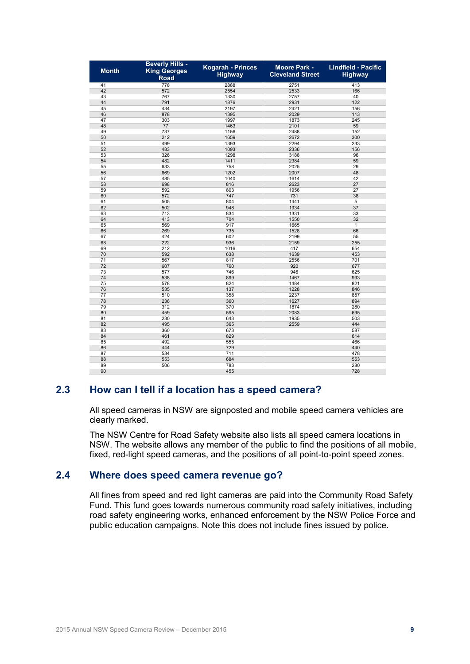| <b>Month</b> | <b>Beverly Hills -</b><br><b>King Georges</b><br><b>Road</b> | <b>Kogarah - Princes</b><br><b>Highway</b> | <b>Moore Park -</b><br><b>Cleveland Street</b> | <b>Lindfield - Pacific</b><br><b>Highway</b> |
|--------------|--------------------------------------------------------------|--------------------------------------------|------------------------------------------------|----------------------------------------------|
| 41           | 778                                                          | 2888                                       | 2751                                           | 413                                          |
| 42           | 572                                                          | 2554                                       | 2533                                           | 166                                          |
| 43           | 767                                                          | 1330                                       | 2757                                           | 40                                           |
| 44           | 791                                                          | 1876                                       | 2931                                           | 122                                          |
| 45           | 434                                                          | 2197                                       | 2421                                           | 156                                          |
| 46           | 878                                                          | 1395                                       | 2029                                           | 113                                          |
| 47           | 303                                                          | 1997                                       | 1873                                           | 245                                          |
| 48           | 77                                                           | 1463                                       | 2101                                           | 59                                           |
| 49           | 737                                                          | 1156                                       | 2488                                           | 152                                          |
| 50           | 212                                                          | 1659                                       | 2672                                           | 300                                          |
| 51           | 499                                                          | 1393                                       | 2294                                           | 233                                          |
| 52           | 483                                                          | 1093                                       | 2336                                           | 156                                          |
| 53           | 326                                                          | 1298                                       | 3188                                           | 96                                           |
| 54           | 482                                                          | 1411                                       | 2384                                           | 59                                           |
| 55           | 633                                                          | 758                                        | 2025                                           | 29                                           |
| 56           | 669                                                          | 1202                                       | 2007                                           | 48                                           |
| 57           | 485                                                          | 1040                                       | 1614                                           | 42                                           |
| 58           | 698                                                          | 816                                        | 2623                                           | 27                                           |
| 59           | 592                                                          | 803                                        | 1956                                           | 27                                           |
| 60           | 572                                                          | 747                                        | 731                                            | 38                                           |
| 61           | 505                                                          | 804                                        | 1441                                           | 5                                            |
| 62           | 502                                                          | 948                                        | 1934                                           | 37                                           |
| 63           | 713                                                          | 834                                        | 1331                                           | 33                                           |
| 64           | 413                                                          | 704                                        | 1550                                           | 32                                           |
| 65           | 569                                                          | 917                                        | 1665                                           | $\mathbf{1}$                                 |
| 66           | 269                                                          | 735                                        | 1528                                           | 66                                           |
| 67           | 424                                                          | 602                                        | 2199                                           | 55                                           |
| 68           | 222                                                          | 936                                        | 2159                                           | 255                                          |
| 69           | 212                                                          | 1016                                       | 417                                            | 654                                          |
| 70           | 592                                                          | 638                                        | 1639                                           | 453                                          |
| 71           | 567                                                          | 817                                        | 2556                                           | 701                                          |
| 72           | 607                                                          | 760                                        | 920                                            | 677                                          |
| 73           | 577                                                          | 746                                        | 946                                            | 625                                          |
| 74           | 538                                                          | 899                                        | 1467                                           | 993                                          |
| 75           | 578                                                          | 824                                        | 1484                                           | 821                                          |
| 76           | 535                                                          | 137                                        | 1228                                           | 846                                          |
| 77           | 510                                                          | 358                                        | 2237                                           | 857                                          |
| 78           | 236                                                          | 360                                        | 1627                                           | 894                                          |
| 79           | 312                                                          | 370                                        | 1874                                           | 280                                          |
| 80           | 459                                                          | 595                                        | 2083                                           | 695                                          |
| 81           | 230                                                          | 643                                        | 1935                                           | 503                                          |
| 82           | 495                                                          | 365                                        | 2559                                           | 444                                          |
| 83           | 360                                                          | 673                                        |                                                | 587                                          |
| 84           | 461                                                          | 829                                        |                                                | 614                                          |
| 85           | 492                                                          | 555                                        |                                                | 466                                          |
| 86           | 444                                                          | 729                                        |                                                | 440                                          |
| 87           | 534                                                          | 711                                        |                                                | 478                                          |
| 88           | 553                                                          | 684                                        |                                                | 553                                          |
| 89           | 506                                                          | 783                                        |                                                | 280                                          |
| 90           |                                                              | 455                                        |                                                | 728                                          |

## <span id="page-8-0"></span>**2.3 How can I tell if a location has a speed camera?**

All speed cameras in NSW are signposted and mobile speed camera vehicles are clearly marked.

The NSW Centre for Road Safety website also lists all speed camera locations in NSW. The website allows any member of the public to find the positions of all mobile, fixed, red-light speed cameras, and the positions of all point-to-point speed zones.

### <span id="page-8-1"></span>**2.4 Where does speed camera revenue go?**

All fines from speed and red light cameras are paid into the Community Road Safety Fund. This fund goes towards numerous community road safety initiatives, including road safety engineering works, enhanced enforcement by the NSW Police Force and public education campaigns. Note this does not include fines issued by police.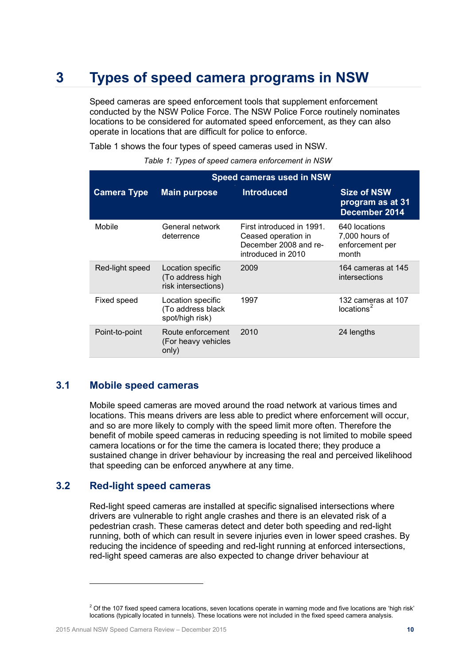## <span id="page-9-0"></span>**3 Types of speed camera programs in NSW**

Speed cameras are speed enforcement tools that supplement enforcement conducted by the NSW Police Force. The NSW Police Force routinely nominates locations to be considered for automated speed enforcement, as they can also operate in locations that are difficult for police to enforce.

Table 1 shows the four types of speed cameras used in NSW.

*Table 1: Types of speed camera enforcement in NSW*

|                    | Speed cameras used in NSW                                    |                                                                                                 |                                                             |
|--------------------|--------------------------------------------------------------|-------------------------------------------------------------------------------------------------|-------------------------------------------------------------|
| <b>Camera Type</b> | <b>Main purpose</b>                                          | <b>Introduced</b>                                                                               | <b>Size of NSW</b><br>program as at 31<br>December 2014     |
| Mobile             | General network<br>deterrence                                | First introduced in 1991.<br>Ceased operation in<br>December 2008 and re-<br>introduced in 2010 | 640 locations<br>7,000 hours of<br>enforcement per<br>month |
| Red-light speed    | Location specific<br>(To address high<br>risk intersections) | 2009                                                                                            | 164 cameras at 145<br>intersections                         |
| Fixed speed        | Location specific<br>(To address black<br>spot/high risk)    | 1997                                                                                            | 132 cameras at 107<br>locations <sup>2</sup>                |
| Point-to-point     | Route enforcement<br>(For heavy vehicles<br>only)            | 2010                                                                                            | 24 lengths                                                  |

### <span id="page-9-1"></span>**3.1 Mobile speed cameras**

Mobile speed cameras are moved around the road network at various times and locations. This means drivers are less able to predict where enforcement will occur, and so are more likely to comply with the speed limit more often. Therefore the benefit of mobile speed cameras in reducing speeding is not limited to mobile speed camera locations or for the time the camera is located there; they produce a sustained change in driver behaviour by increasing the real and perceived likelihood that speeding can be enforced anywhere at any time.

#### <span id="page-9-2"></span>**3.2 Red-light speed cameras**

Red-light speed cameras are installed at specific signalised intersections where drivers are vulnerable to right angle crashes and there is an elevated risk of a pedestrian crash. These cameras detect and deter both speeding and red-light running, both of which can result in severe injuries even in lower speed crashes. By reducing the incidence of speeding and red-light running at enforced intersections, red-light speed cameras are also expected to change driver behaviour at

<span id="page-9-3"></span> $2$  Of the 107 fixed speed camera locations, seven locations operate in warning mode and five locations are 'high risk' locations (typically located in tunnels). These locations were not included in the fixed speed camera analysis.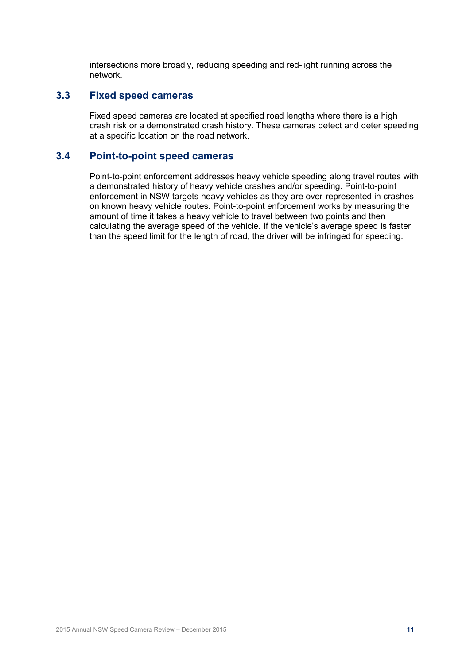intersections more broadly, reducing speeding and red-light running across the network.

## <span id="page-10-0"></span>**3.3 Fixed speed cameras**

Fixed speed cameras are located at specified road lengths where there is a high crash risk or a demonstrated crash history. These cameras detect and deter speeding at a specific location on the road network.

## <span id="page-10-1"></span>**3.4 Point-to-point speed cameras**

Point-to-point enforcement addresses heavy vehicle speeding along travel routes with a demonstrated history of heavy vehicle crashes and/or speeding. Point-to-point enforcement in NSW targets heavy vehicles as they are over-represented in crashes on known heavy vehicle routes. Point-to-point enforcement works by measuring the amount of time it takes a heavy vehicle to travel between two points and then calculating the average speed of the vehicle. If the vehicle's average speed is faster than the speed limit for the length of road, the driver will be infringed for speeding.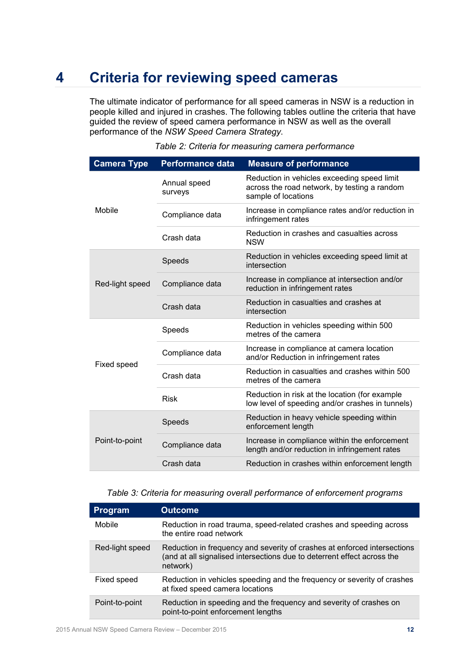## <span id="page-11-0"></span>**4 Criteria for reviewing speed cameras**

The ultimate indicator of performance for all speed cameras in NSW is a reduction in people killed and injured in crashes. The following tables outline the criteria that have guided the review of speed camera performance in NSW as well as the overall performance of the *NSW Speed Camera Strategy*.

| <b>Camera Type</b> | <b>Performance data</b> | <b>Measure of performance</b>                                                                                      |
|--------------------|-------------------------|--------------------------------------------------------------------------------------------------------------------|
|                    | Annual speed<br>surveys | Reduction in vehicles exceeding speed limit<br>across the road network, by testing a random<br>sample of locations |
| Mobile             | Compliance data         | Increase in compliance rates and/or reduction in<br>infringement rates                                             |
|                    | Crash data              | Reduction in crashes and casualties across<br><b>NSW</b>                                                           |
|                    | Speeds                  | Reduction in vehicles exceeding speed limit at<br>intersection                                                     |
| Red-light speed    | Compliance data         | Increase in compliance at intersection and/or<br>reduction in infringement rates                                   |
|                    | Crash data              | Reduction in casualties and crashes at<br>intersection                                                             |
|                    | Speeds                  | Reduction in vehicles speeding within 500<br>metres of the camera                                                  |
|                    | Compliance data         | Increase in compliance at camera location<br>and/or Reduction in infringement rates                                |
| Fixed speed        | Crash data              | Reduction in casualties and crashes within 500<br>metres of the camera                                             |
|                    | <b>Risk</b>             | Reduction in risk at the location (for example<br>low level of speeding and/or crashes in tunnels)                 |
| Point-to-point     | Speeds                  | Reduction in heavy vehicle speeding within<br>enforcement length                                                   |
|                    | Compliance data         | Increase in compliance within the enforcement<br>length and/or reduction in infringement rates                     |
|                    | Crash data              | Reduction in crashes within enforcement length                                                                     |
|                    |                         |                                                                                                                    |

*Table 2: Criteria for measuring camera performance*

#### *Table 3: Criteria for measuring overall performance of enforcement programs*

| <b>Program</b>  | <b>Outcome</b>                                                                                                                                                  |
|-----------------|-----------------------------------------------------------------------------------------------------------------------------------------------------------------|
| Mobile          | Reduction in road trauma, speed-related crashes and speeding across<br>the entire road network                                                                  |
| Red-light speed | Reduction in frequency and severity of crashes at enforced intersections<br>(and at all signalised intersections due to deterrent effect across the<br>network) |
| Fixed speed     | Reduction in vehicles speeding and the frequency or severity of crashes<br>at fixed speed camera locations                                                      |
| Point-to-point  | Reduction in speeding and the frequency and severity of crashes on<br>point-to-point enforcement lengths                                                        |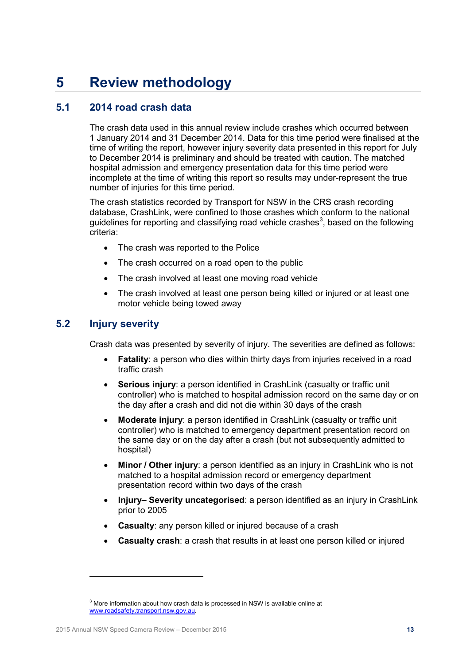## <span id="page-12-0"></span>**5 Review methodology**

## <span id="page-12-1"></span>**5.1 2014 road crash data**

The crash data used in this annual review include crashes which occurred between 1 January 2014 and 31 December 2014. Data for this time period were finalised at the time of writing the report, however injury severity data presented in this report for July to December 2014 is preliminary and should be treated with caution. The matched hospital admission and emergency presentation data for this time period were incomplete at the time of writing this report so results may under-represent the true number of injuries for this time period.

The crash statistics recorded by Transport for NSW in the CRS crash recording database, CrashLink, were confined to those crashes which conform to the national guidelines for reporting and classifying road vehicle crashes<sup>[3](#page-12-3)</sup>, based on the following criteria:

- The crash was reported to the Police
- The crash occurred on a road open to the public
- The crash involved at least one moving road vehicle
- The crash involved at least one person being killed or injured or at least one motor vehicle being towed away

## <span id="page-12-2"></span>**5.2 Injury severity**

Crash data was presented by severity of injury. The severities are defined as follows:

- **Fatality**: a person who dies within thirty days from injuries received in a road traffic crash
- **Serious injury**: a person identified in CrashLink (casualty or traffic unit controller) who is matched to hospital admission record on the same day or on the day after a crash and did not die within 30 days of the crash
- **Moderate injury**: a person identified in CrashLink (casualty or traffic unit controller) who is matched to emergency department presentation record on the same day or on the day after a crash (but not subsequently admitted to hospital)
- **Minor / Other injury**: a person identified as an injury in CrashLink who is not matched to a hospital admission record or emergency department presentation record within two days of the crash
- **Injury– Severity uncategorised**: a person identified as an injury in CrashLink prior to 2005
- **Casualty**: any person killed or injured because of a crash
- **Casualty crash**: a crash that results in at least one person killed or injured

<span id="page-12-3"></span> $3$  More information about how crash data is processed in NSW is available online at [www.roadsafety.transport.nsw.gov.au.](http://www.roadsafety.transport.nsw.gov.au/)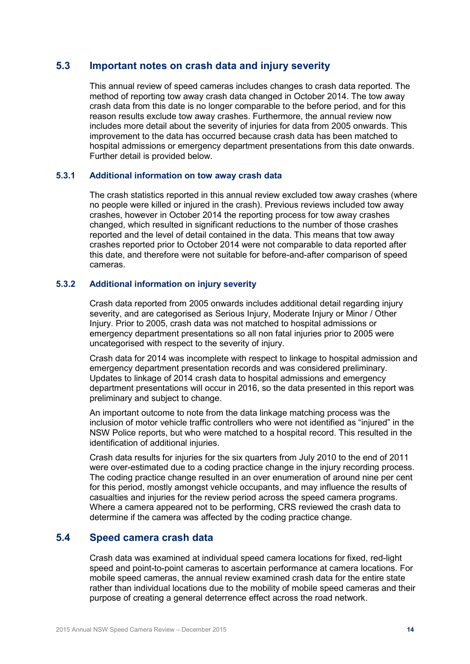### <span id="page-13-0"></span>**5.3 Important notes on crash data and injury severity**

This annual review of speed cameras includes changes to crash data reported. The method of reporting tow away crash data changed in October 2014. The tow away crash data from this date is no longer comparable to the before period, and for this reason results exclude tow away crashes. Furthermore, the annual review now includes more detail about the severity of injuries for data from 2005 onwards. This improvement to the data has occurred because crash data has been matched to hospital admissions or emergency department presentations from this date onwards. Further detail is provided below.

#### <span id="page-13-1"></span>**5.3.1 Additional information on tow away crash data**

The crash statistics reported in this annual review excluded tow away crashes (where no people were killed or injured in the crash). Previous reviews included tow away crashes, however in October 2014 the reporting process for tow away crashes changed, which resulted in significant reductions to the number of those crashes reported and the level of detail contained in the data. This means that tow away crashes reported prior to October 2014 were not comparable to data reported after this date, and therefore were not suitable for before-and-after comparison of speed cameras.

#### <span id="page-13-2"></span>**5.3.2 Additional information on injury severity**

Crash data reported from 2005 onwards includes additional detail regarding injury severity, and are categorised as Serious Injury, Moderate Injury or Minor / Other Injury. Prior to 2005, crash data was not matched to hospital admissions or emergency department presentations so all non fatal injuries prior to 2005 were uncategorised with respect to the severity of injury.

Crash data for 2014 was incomplete with respect to linkage to hospital admission and emergency department presentation records and was considered preliminary. Updates to linkage of 2014 crash data to hospital admissions and emergency department presentations will occur in 2016, so the data presented in this report was preliminary and subject to change.

An important outcome to note from the data linkage matching process was the inclusion of motor vehicle traffic controllers who were not identified as "injured" in the NSW Police reports, but who were matched to a hospital record. This resulted in the identification of additional injuries.

Crash data results for injuries for the six quarters from July 2010 to the end of 2011 were over-estimated due to a coding practice change in the injury recording process. The coding practice change resulted in an over enumeration of around nine per cent for this period, mostly amongst vehicle occupants, and may influence the results of casualties and injuries for the review period across the speed camera programs. Where a camera appeared not to be performing, CRS reviewed the crash data to determine if the camera was affected by the coding practice change.

## <span id="page-13-3"></span>**5.4 Speed camera crash data**

Crash data was examined at individual speed camera locations for fixed, red-light speed and point-to-point cameras to ascertain performance at camera locations. For mobile speed cameras, the annual review examined crash data for the entire state rather than individual locations due to the mobility of mobile speed cameras and their purpose of creating a general deterrence effect across the road network.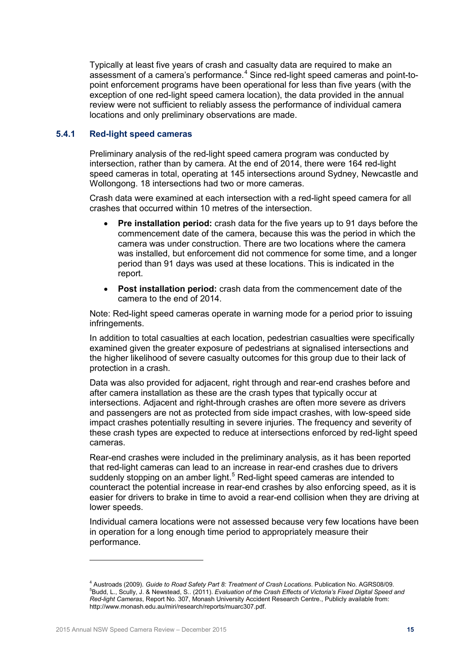Typically at least five years of crash and casualty data are required to make an assessment of a camera's performance. [4](#page-14-1) Since red-light speed cameras and point-topoint enforcement programs have been operational for less than five years (with the exception of one red-light speed camera location), the data provided in the annual review were not sufficient to reliably assess the performance of individual camera locations and only preliminary observations are made.

#### <span id="page-14-0"></span>**5.4.1 Red-light speed cameras**

Preliminary analysis of the red-light speed camera program was conducted by intersection, rather than by camera. At the end of 2014, there were 164 red-light speed cameras in total, operating at 145 intersections around Sydney, Newcastle and Wollongong. 18 intersections had two or more cameras.

Crash data were examined at each intersection with a red-light speed camera for all crashes that occurred within 10 metres of the intersection.

- **Pre installation period:** crash data for the five years up to 91 days before the commencement date of the camera, because this was the period in which the camera was under construction. There are two locations where the camera was installed, but enforcement did not commence for some time, and a longer period than 91 days was used at these locations. This is indicated in the report.
- **Post installation period:** crash data from the commencement date of the camera to the end of 2014.

Note: Red-light speed cameras operate in warning mode for a period prior to issuing infringements.

In addition to total casualties at each location, pedestrian casualties were specifically examined given the greater exposure of pedestrians at signalised intersections and the higher likelihood of severe casualty outcomes for this group due to their lack of protection in a crash.

Data was also provided for adjacent, right through and rear-end crashes before and after camera installation as these are the crash types that typically occur at intersections. Adjacent and right-through crashes are often more severe as drivers and passengers are not as protected from side impact crashes, with low-speed side impact crashes potentially resulting in severe injuries. The frequency and severity of these crash types are expected to reduce at intersections enforced by red-light speed cameras.

Rear-end crashes were included in the preliminary analysis, as it has been reported that red-light cameras can lead to an increase in rear-end crashes due to drivers suddenly stopping on an amber light.<sup>[5](#page-14-2)</sup> Red-light speed cameras are intended to counteract the potential increase in rear-end crashes by also enforcing speed, as it is easier for drivers to brake in time to avoid a rear-end collision when they are driving at lower speeds.

Individual camera locations were not assessed because very few locations have been in operation for a long enough time period to appropriately measure their performance.

 $\overline{a}$ 

<span id="page-14-2"></span><span id="page-14-1"></span><sup>&</sup>lt;sup>4</sup> Austroads (2009). *Guide to Road Safety Part 8: Treatment of Crash Locations*. Publication No. AGRS08/09. Budd, L., Scully, J. & Newstead, S.. (2011). *Evaluation of the Crash Effects of Victoria's Fixed Digital Speed and Red-light Cameras*, Report No. 307, Monash University Accident Research Centre., Publicly available from: http://www.monash.edu.au/miri/research/reports/muarc307.pdf.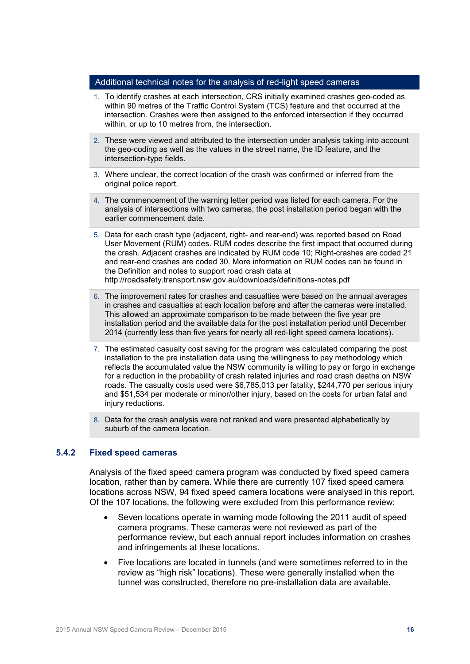#### Additional technical notes for the analysis of red-light speed cameras

- 1. To identify crashes at each intersection, CRS initially examined crashes geo-coded as within 90 metres of the Traffic Control System (TCS) feature and that occurred at the intersection. Crashes were then assigned to the enforced intersection if they occurred within, or up to 10 metres from, the intersection.
- 2. These were viewed and attributed to the intersection under analysis taking into account the geo-coding as well as the values in the street name, the ID feature, and the intersection-type fields.
- 3. Where unclear, the correct location of the crash was confirmed or inferred from the original police report.
- 4. The commencement of the warning letter period was listed for each camera. For the analysis of intersections with two cameras, the post installation period began with the earlier commencement date.
- 5. Data for each crash type (adjacent, right- and rear-end) was reported based on Road User Movement (RUM) codes. RUM codes describe the first impact that occurred during the crash. Adjacent crashes are indicated by RUM code 10; Right-crashes are coded 21 and rear-end crashes are coded 30. More information on RUM codes can be found in the Definition and notes to support road crash data at <http://roadsafety.transport.nsw.gov.au/downloads/definitions-notes.pdf>
- 6. The improvement rates for crashes and casualties were based on the annual averages in crashes and casualties at each location before and after the cameras were installed. This allowed an approximate comparison to be made between the five year pre installation period and the available data for the post installation period until December 2014 (currently less than five years for nearly all red-light speed camera locations).
- 7. The estimated casualty cost saving for the program was calculated comparing the post installation to the pre installation data using the willingness to pay methodology which reflects the accumulated value the NSW community is willing to pay or forgo in exchange for a reduction in the probability of crash related injuries and road crash deaths on NSW roads. The casualty costs used were \$6,785,013 per fatality, \$244,770 per serious injury and \$51,534 per moderate or minor/other injury, based on the costs for urban fatal and injury reductions.
- 8. Data for the crash analysis were not ranked and were presented alphabetically by suburb of the camera location.

#### <span id="page-15-0"></span>**5.4.2 Fixed speed cameras**

Analysis of the fixed speed camera program was conducted by fixed speed camera location, rather than by camera. While there are currently 107 fixed speed camera locations across NSW, 94 fixed speed camera locations were analysed in this report. Of the 107 locations, the following were excluded from this performance review:

- Seven locations operate in warning mode following the 2011 audit of speed camera programs. These cameras were not reviewed as part of the performance review, but each annual report includes information on crashes and infringements at these locations.
- Five locations are located in tunnels (and were sometimes referred to in the review as "high risk" locations). These were generally installed when the tunnel was constructed, therefore no pre-installation data are available.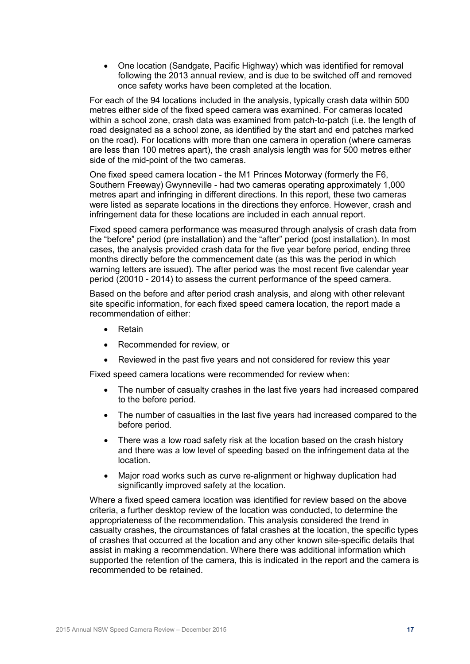• One location (Sandgate, Pacific Highway) which was identified for removal following the 2013 annual review, and is due to be switched off and removed once safety works have been completed at the location.

For each of the 94 locations included in the analysis, typically crash data within 500 metres either side of the fixed speed camera was examined. For cameras located within a school zone, crash data was examined from patch-to-patch (i.e. the length of road designated as a school zone, as identified by the start and end patches marked on the road). For locations with more than one camera in operation (where cameras are less than 100 metres apart), the crash analysis length was for 500 metres either side of the mid-point of the two cameras.

One fixed speed camera location - the M1 Princes Motorway (formerly the F6, Southern Freeway) Gwynneville - had two cameras operating approximately 1,000 metres apart and infringing in different directions. In this report, these two cameras were listed as separate locations in the directions they enforce. However, crash and infringement data for these locations are included in each annual report.

Fixed speed camera performance was measured through analysis of crash data from the "before" period (pre installation) and the "after" period (post installation). In most cases, the analysis provided crash data for the five year before period, ending three months directly before the commencement date (as this was the period in which warning letters are issued). The after period was the most recent five calendar year period (20010 - 2014) to assess the current performance of the speed camera.

Based on the before and after period crash analysis, and along with other relevant site specific information, for each fixed speed camera location, the report made a recommendation of either:

- Retain
- Recommended for review, or
- Reviewed in the past five years and not considered for review this year

Fixed speed camera locations were recommended for review when:

- The number of casualty crashes in the last five years had increased compared to the before period.
- The number of casualties in the last five years had increased compared to the before period.
- There was a low road safety risk at the location based on the crash history and there was a low level of speeding based on the infringement data at the location.
- Major road works such as curve re-alignment or highway duplication had significantly improved safety at the location.

Where a fixed speed camera location was identified for review based on the above criteria, a further desktop review of the location was conducted, to determine the appropriateness of the recommendation. This analysis considered the trend in casualty crashes, the circumstances of fatal crashes at the location, the specific types of crashes that occurred at the location and any other known site-specific details that assist in making a recommendation. Where there was additional information which supported the retention of the camera, this is indicated in the report and the camera is recommended to be retained.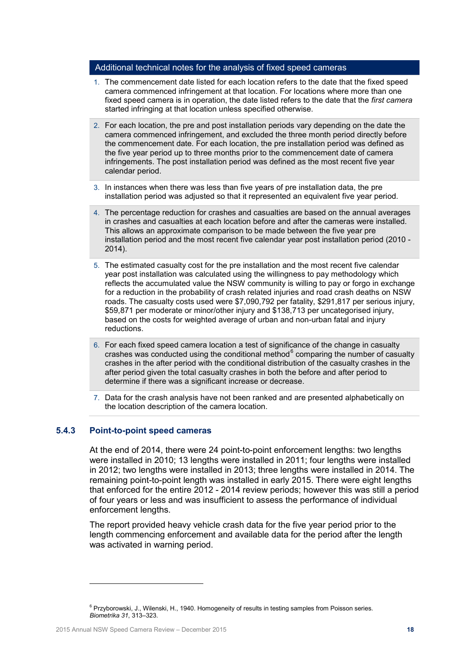#### Additional technical notes for the analysis of fixed speed cameras

- 1. The commencement date listed for each location refers to the date that the fixed speed camera commenced infringement at that location. For locations where more than one fixed speed camera is in operation, the date listed refers to the date that the *first camera* started infringing at that location unless specified otherwise.
- 2. For each location, the pre and post installation periods vary depending on the date the camera commenced infringement, and excluded the three month period directly before the commencement date. For each location, the pre installation period was defined as the five year period up to three months prior to the commencement date of camera infringements. The post installation period was defined as the most recent five year calendar period.
- 3. In instances when there was less than five years of pre installation data, the pre installation period was adjusted so that it represented an equivalent five year period.
- 4. The percentage reduction for crashes and casualties are based on the annual averages in crashes and casualties at each location before and after the cameras were installed. This allows an approximate comparison to be made between the five year pre installation period and the most recent five calendar year post installation period (2010 - 2014).
- 5. The estimated casualty cost for the pre installation and the most recent five calendar year post installation was calculated using the willingness to pay methodology which reflects the accumulated value the NSW community is willing to pay or forgo in exchange for a reduction in the probability of crash related injuries and road crash deaths on NSW roads. The casualty costs used were \$7,090,792 per fatality, \$291,817 per serious injury, \$59,871 per moderate or minor/other injury and \$138,713 per uncategorised injury, based on the costs for weighted average of urban and non-urban fatal and injury reductions.
- 6. For each fixed speed camera location a test of significance of the change in casualty crashes was conducted using the conditional method $6$  comparing the number of casualty crashes in the after period with the conditional distribution of the casualty crashes in the after period given the total casualty crashes in both the before and after period to determine if there was a significant increase or decrease.
- 7. Data for the crash analysis have not been ranked and are presented alphabetically on the location description of the camera location.

#### <span id="page-17-0"></span>**5.4.3 Point-to-point speed cameras**

At the end of 2014, there were 24 point-to-point enforcement lengths: two lengths were installed in 2010; 13 lengths were installed in 2011; four lengths were installed in 2012; two lengths were installed in 2013; three lengths were installed in 2014. The remaining point-to-point length was installed in early 2015. There were eight lengths that enforced for the entire 2012 - 2014 review periods; however this was still a period of four years or less and was insufficient to assess the performance of individual enforcement lengths.

The report provided heavy vehicle crash data for the five year period prior to the length commencing enforcement and available data for the period after the length was activated in warning period.

<span id="page-17-1"></span><sup>&</sup>lt;sup>6</sup> Przyborowski, J., Wilenski, H., 1940. Homogeneity of results in testing samples from Poisson series. *Biometrika 31*, 313–323.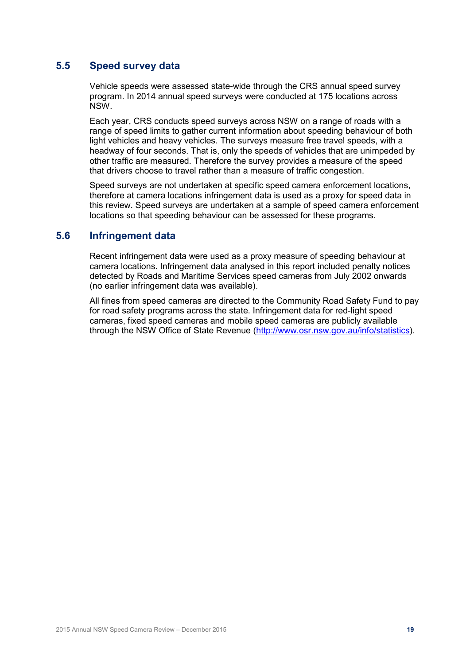## <span id="page-18-0"></span>**5.5 Speed survey data**

Vehicle speeds were assessed state-wide through the CRS annual speed survey program. In 2014 annual speed surveys were conducted at 175 locations across NSW.

Each year, CRS conducts speed surveys across NSW on a range of roads with a range of speed limits to gather current information about speeding behaviour of both light vehicles and heavy vehicles. The surveys measure free travel speeds, with a headway of four seconds. That is, only the speeds of vehicles that are unimpeded by other traffic are measured. Therefore the survey provides a measure of the speed that drivers choose to travel rather than a measure of traffic congestion.

Speed surveys are not undertaken at specific speed camera enforcement locations, therefore at camera locations infringement data is used as a proxy for speed data in this review. Speed surveys are undertaken at a sample of speed camera enforcement locations so that speeding behaviour can be assessed for these programs.

#### <span id="page-18-1"></span>**5.6 Infringement data**

Recent infringement data were used as a proxy measure of speeding behaviour at camera locations. Infringement data analysed in this report included penalty notices detected by Roads and Maritime Services speed cameras from July 2002 onwards (no earlier infringement data was available).

All fines from speed cameras are directed to the Community Road Safety Fund to pay for road safety programs across the state. Infringement data for red-light speed cameras, fixed speed cameras and mobile speed cameras are publicly available through the NSW Office of State Revenue [\(http://www.osr.nsw.gov.au/info/statistics\)](http://www.osr.nsw.gov.au/info/statistics).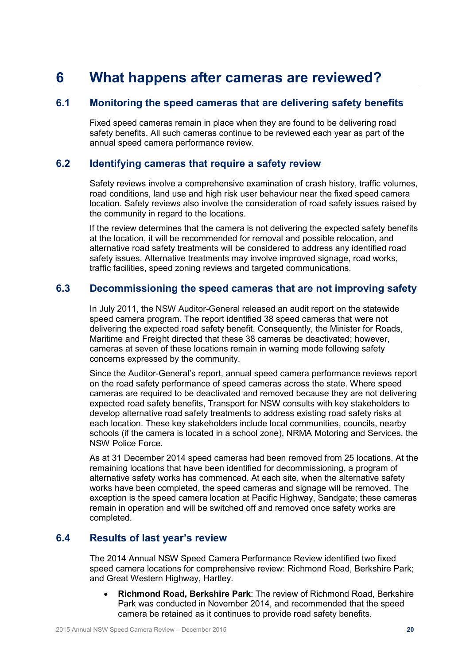## <span id="page-19-0"></span>**6 What happens after cameras are reviewed?**

## <span id="page-19-1"></span>**6.1 Monitoring the speed cameras that are delivering safety benefits**

Fixed speed cameras remain in place when they are found to be delivering road safety benefits. All such cameras continue to be reviewed each year as part of the annual speed camera performance review.

### <span id="page-19-2"></span>**6.2 Identifying cameras that require a safety review**

Safety reviews involve a comprehensive examination of crash history, traffic volumes, road conditions, land use and high risk user behaviour near the fixed speed camera location. Safety reviews also involve the consideration of road safety issues raised by the community in regard to the locations.

If the review determines that the camera is not delivering the expected safety benefits at the location, it will be recommended for removal and possible relocation, and alternative road safety treatments will be considered to address any identified road safety issues. Alternative treatments may involve improved signage, road works, traffic facilities, speed zoning reviews and targeted communications.

### <span id="page-19-3"></span>**6.3 Decommissioning the speed cameras that are not improving safety**

In July 2011, the NSW Auditor-General released an audit report on the statewide speed camera program. The report identified 38 speed cameras that were not delivering the expected road safety benefit. Consequently, the Minister for Roads, Maritime and Freight directed that these 38 cameras be deactivated; however, cameras at seven of these locations remain in warning mode following safety concerns expressed by the community.

Since the Auditor-General's report, annual speed camera performance reviews report on the road safety performance of speed cameras across the state. Where speed cameras are required to be deactivated and removed because they are not delivering expected road safety benefits, Transport for NSW consults with key stakeholders to develop alternative road safety treatments to address existing road safety risks at each location. These key stakeholders include local communities, councils, nearby schools (if the camera is located in a school zone), NRMA Motoring and Services, the NSW Police Force.

As at 31 December 2014 speed cameras had been removed from 25 locations. At the remaining locations that have been identified for decommissioning, a program of alternative safety works has commenced. At each site, when the alternative safety works have been completed, the speed cameras and signage will be removed. The exception is the speed camera location at Pacific Highway, Sandgate; these cameras remain in operation and will be switched off and removed once safety works are completed.

### <span id="page-19-4"></span>**6.4 Results of last year's review**

The 2014 Annual NSW Speed Camera Performance Review identified two fixed speed camera locations for comprehensive review: Richmond Road, Berkshire Park; and Great Western Highway, Hartley.

• **Richmond Road, Berkshire Park**: The review of Richmond Road, Berkshire Park was conducted in November 2014, and recommended that the speed camera be retained as it continues to provide road safety benefits.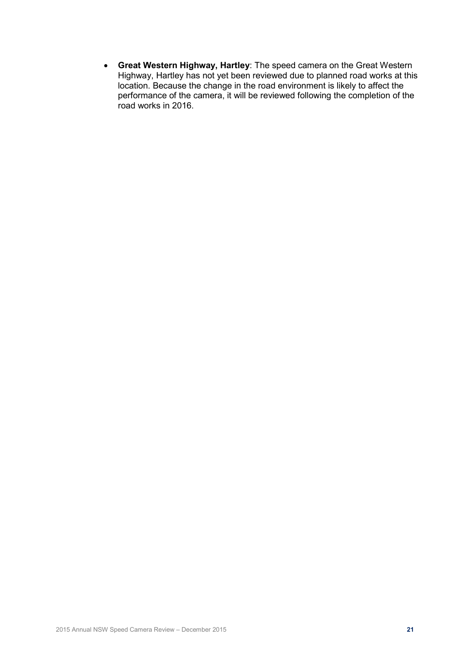• **Great Western Highway, Hartley**: The speed camera on the Great Western Highway, Hartley has not yet been reviewed due to planned road works at this location. Because the change in the road environment is likely to affect the performance of the camera, it will be reviewed following the completion of the road works in 2016.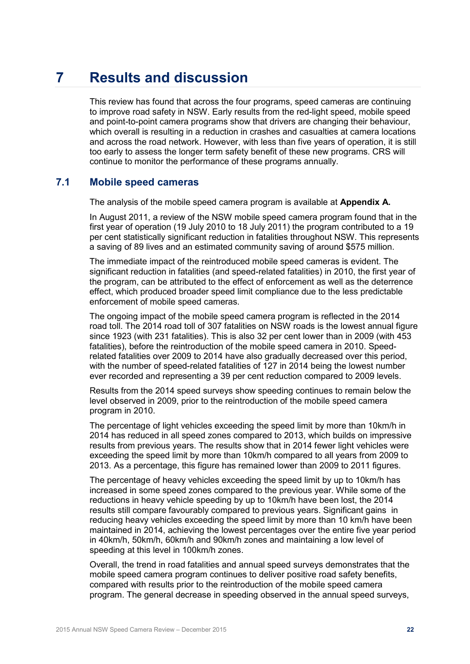## <span id="page-21-0"></span>**7 Results and discussion**

This review has found that across the four programs, speed cameras are continuing to improve road safety in NSW. Early results from the red-light speed, mobile speed and point-to-point camera programs show that drivers are changing their behaviour, which overall is resulting in a reduction in crashes and casualties at camera locations and across the road network. However, with less than five years of operation, it is still too early to assess the longer term safety benefit of these new programs. CRS will continue to monitor the performance of these programs annually.

### <span id="page-21-1"></span>**7.1 Mobile speed cameras**

The analysis of the mobile speed camera program is available at **Appendix A.**

In August 2011, a review of the NSW mobile speed camera program found that in the first year of operation (19 July 2010 to 18 July 2011) the program contributed to a 19 per cent statistically significant reduction in fatalities throughout NSW. This represents a saving of 89 lives and an estimated community saving of around \$575 million.

The immediate impact of the reintroduced mobile speed cameras is evident. The significant reduction in fatalities (and speed-related fatalities) in 2010, the first year of the program, can be attributed to the effect of enforcement as well as the deterrence effect, which produced broader speed limit compliance due to the less predictable enforcement of mobile speed cameras.

The ongoing impact of the mobile speed camera program is reflected in the 2014 road toll. The 2014 road toll of 307 fatalities on NSW roads is the lowest annual figure since 1923 (with 231 fatalities). This is also 32 per cent lower than in 2009 (with 453 fatalities), before the reintroduction of the mobile speed camera in 2010. Speedrelated fatalities over 2009 to 2014 have also gradually decreased over this period, with the number of speed-related fatalities of 127 in 2014 being the lowest number ever recorded and representing a 39 per cent reduction compared to 2009 levels.

Results from the 2014 speed surveys show speeding continues to remain below the level observed in 2009, prior to the reintroduction of the mobile speed camera program in 2010.

The percentage of light vehicles exceeding the speed limit by more than 10km/h in 2014 has reduced in all speed zones compared to 2013, which builds on impressive results from previous years. The results show that in 2014 fewer light vehicles were exceeding the speed limit by more than 10km/h compared to all years from 2009 to 2013. As a percentage, this figure has remained lower than 2009 to 2011 figures.

The percentage of heavy vehicles exceeding the speed limit by up to 10km/h has increased in some speed zones compared to the previous year. While some of the reductions in heavy vehicle speeding by up to 10km/h have been lost, the 2014 results still compare favourably compared to previous years. Significant gains in reducing heavy vehicles exceeding the speed limit by more than 10 km/h have been maintained in 2014, achieving the lowest percentages over the entire five year period in 40km/h, 50km/h, 60km/h and 90km/h zones and maintaining a low level of speeding at this level in 100km/h zones.

Overall, the trend in road fatalities and annual speed surveys demonstrates that the mobile speed camera program continues to deliver positive road safety benefits, compared with results prior to the reintroduction of the mobile speed camera program. The general decrease in speeding observed in the annual speed surveys,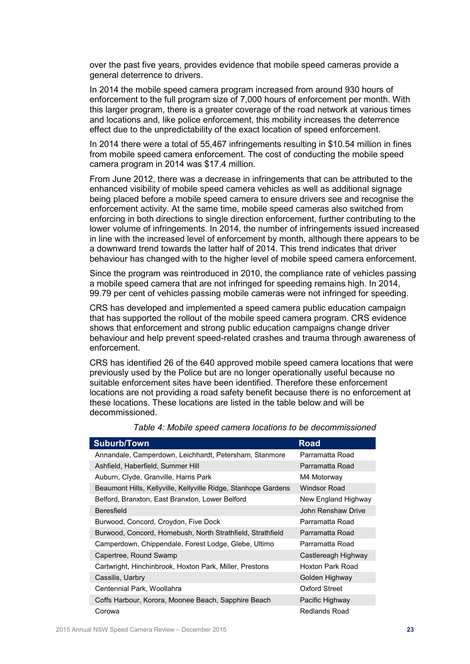over the past five years, provides evidence that mobile speed cameras provide a general deterrence to drivers.

In 2014 the mobile speed camera program increased from around 930 hours of enforcement to the full program size of 7,000 hours of enforcement per month. With this larger program, there is a greater coverage of the road network at various times and locations and, like police enforcement, this mobility increases the deterrence effect due to the unpredictability of the exact location of speed enforcement.

In 2014 there were a total of 55,467 infringements resulting in \$10.54 million in fines from mobile speed camera enforcement. The cost of conducting the mobile speed camera program in 2014 was \$17.4 million.

From June 2012, there was a decrease in infringements that can be attributed to the enhanced visibility of mobile speed camera vehicles as well as additional signage being placed before a mobile speed camera to ensure drivers see and recognise the enforcement activity. At the same time, mobile speed cameras also switched from enforcing in both directions to single direction enforcement, further contributing to the lower volume of infringements. In 2014, the number of infringements issued increased in line with the increased level of enforcement by month, although there appears to be a downward trend towards the latter half of 2014. This trend indicates that driver behaviour has changed with to the higher level of mobile speed camera enforcement.

Since the program was reintroduced in 2010, the compliance rate of vehicles passing a mobile speed camera that are not infringed for speeding remains high. In 2014, 99.79 per cent of vehicles passing mobile cameras were not infringed for speeding.

CRS has developed and implemented a speed camera public education campaign that has supported the rollout of the mobile speed camera program. CRS evidence shows that enforcement and strong public education campaigns change driver behaviour and help prevent speed-related crashes and trauma through awareness of enforcement.

CRS has identified 26 of the 640 approved mobile speed camera locations that were previously used by the Police but are no longer operationally useful because no suitable enforcement sites have been identified. Therefore these enforcement locations are not providing a road safety benefit because there is no enforcement at these locations. These locations are listed in the table below and will be decommissioned.

| <b>Suburb/Town</b>                                             | <b>Road</b>         |
|----------------------------------------------------------------|---------------------|
| Annandale, Camperdown, Leichhardt, Petersham, Stanmore         | Parramatta Road     |
| Ashfield, Haberfield, Summer Hill                              | Parramatta Road     |
| Auburn, Clyde, Granville, Harris Park                          | M4 Motorway         |
| Beaumont Hills, Kellyville, Kellyville Ridge, Stanhope Gardens | <b>Windsor Road</b> |
| Belford, Branxton, East Branxton, Lower Belford                | New England Highway |
| <b>Beresfield</b>                                              | John Renshaw Drive  |
| Burwood, Concord, Croydon, Five Dock                           | Parramatta Road     |
| Burwood, Concord, Homebush, North Strathfield, Strathfield     | Parramatta Road     |
| Camperdown, Chippendale, Forest Lodge, Glebe, Ultimo           | Parramatta Road     |
| Capertree, Round Swamp                                         | Castlereagh Highway |
| Cartwright, Hinchinbrook, Hoxton Park, Miller, Prestons        | Hoxton Park Road    |
| Cassilis, Uarbry                                               | Golden Highway      |
| Centennial Park, Woollahra                                     | Oxford Street       |
| Coffs Harbour, Korora, Moonee Beach, Sapphire Beach            | Pacific Highway     |
| Corowa                                                         | Redlands Road       |

*Table 4: Mobile speed camera locations to be decommissioned*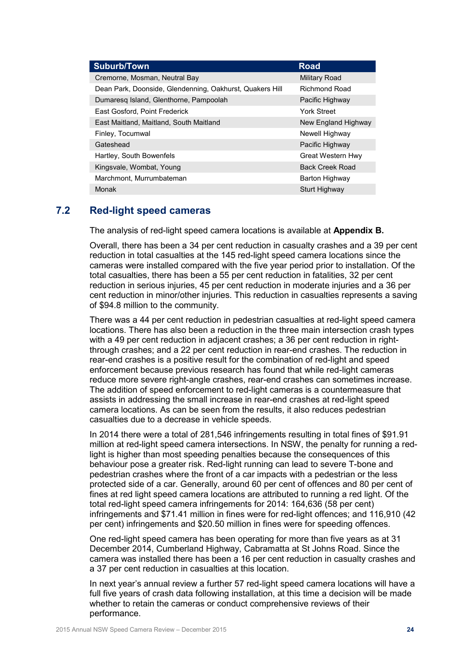| <b>Suburb/Town</b>                                       | <b>Road</b>              |
|----------------------------------------------------------|--------------------------|
| Cremorne, Mosman, Neutral Bay                            | <b>Military Road</b>     |
| Dean Park, Doonside, Glendenning, Oakhurst, Quakers Hill | Richmond Road            |
| Dumaresq Island, Glenthorne, Pampoolah                   | Pacific Highway          |
| East Gosford, Point Frederick                            | <b>York Street</b>       |
| East Maitland, Maitland, South Maitland                  | New England Highway      |
| Finley, Tocumwal                                         | Newell Highway           |
| Gateshead                                                | Pacific Highway          |
| Hartley, South Bowenfels                                 | <b>Great Western Hwy</b> |
| Kingsvale, Wombat, Young                                 | <b>Back Creek Road</b>   |
| Marchmont, Murrumbateman                                 | Barton Highway           |
| Monak                                                    | Sturt Highway            |

## <span id="page-23-0"></span>**7.2 Red-light speed cameras**

The analysis of red-light speed camera locations is available at **Appendix B.**

Overall, there has been a 34 per cent reduction in casualty crashes and a 39 per cent reduction in total casualties at the 145 red-light speed camera locations since the cameras were installed compared with the five year period prior to installation. Of the total casualties, there has been a 55 per cent reduction in fatalities, 32 per cent reduction in serious injuries, 45 per cent reduction in moderate injuries and a 36 per cent reduction in minor/other injuries. This reduction in casualties represents a saving of \$94.8 million to the community.

There was a 44 per cent reduction in pedestrian casualties at red-light speed camera locations. There has also been a reduction in the three main intersection crash types with a 49 per cent reduction in adjacent crashes; a 36 per cent reduction in rightthrough crashes; and a 22 per cent reduction in rear-end crashes. The reduction in rear-end crashes is a positive result for the combination of red-light and speed enforcement because previous research has found that while red-light cameras reduce more severe right-angle crashes, rear-end crashes can sometimes increase. The addition of speed enforcement to red-light cameras is a countermeasure that assists in addressing the small increase in rear-end crashes at red-light speed camera locations. As can be seen from the results, it also reduces pedestrian casualties due to a decrease in vehicle speeds.

In 2014 there were a total of 281,546 infringements resulting in total fines of \$91.91 million at red-light speed camera intersections. In NSW, the penalty for running a redlight is higher than most speeding penalties because the consequences of this behaviour pose a greater risk. Red-light running can lead to severe T-bone and pedestrian crashes where the front of a car impacts with a pedestrian or the less protected side of a car. Generally, around 60 per cent of offences and 80 per cent of fines at red light speed camera locations are attributed to running a red light. Of the total red-light speed camera infringements for 2014: 164,636 (58 per cent) infringements and \$71.41 million in fines were for red-light offences; and 116,910 (42 per cent) infringements and \$20.50 million in fines were for speeding offences.

One red-light speed camera has been operating for more than five years as at 31 December 2014, Cumberland Highway, Cabramatta at St Johns Road. Since the camera was installed there has been a 16 per cent reduction in casualty crashes and a 37 per cent reduction in casualties at this location.

In next year's annual review a further 57 red-light speed camera locations will have a full five years of crash data following installation, at this time a decision will be made whether to retain the cameras or conduct comprehensive reviews of their performance.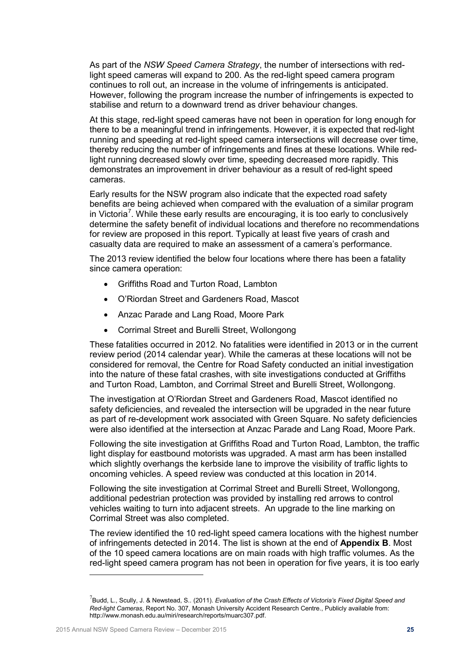As part of the *NSW Speed Camera Strategy*, the number of intersections with redlight speed cameras will expand to 200. As the red-light speed camera program continues to roll out, an increase in the volume of infringements is anticipated. However, following the program increase the number of infringements is expected to stabilise and return to a downward trend as driver behaviour changes.

At this stage, red-light speed cameras have not been in operation for long enough for there to be a meaningful trend in infringements. However, it is expected that red-light running and speeding at red-light speed camera intersections will decrease over time, thereby reducing the number of infringements and fines at these locations. While redlight running decreased slowly over time, speeding decreased more rapidly. This demonstrates an improvement in driver behaviour as a result of red-light speed cameras.

Early results for the NSW program also indicate that the expected road safety benefits are being achieved when compared with the evaluation of a similar program in Victoria<sup>[7](#page-24-0)</sup>. While these early results are encouraging, it is too early to conclusively determine the safety benefit of individual locations and therefore no recommendations for review are proposed in this report. Typically at least five years of crash and casualty data are required to make an assessment of a camera's performance.

The 2013 review identified the below four locations where there has been a fatality since camera operation:

- Griffiths Road and Turton Road, Lambton
- O'Riordan Street and Gardeners Road, Mascot
- Anzac Parade and Lang Road, Moore Park
- Corrimal Street and Burelli Street, Wollongong

These fatalities occurred in 2012. No fatalities were identified in 2013 or in the current review period (2014 calendar year). While the cameras at these locations will not be considered for removal, the Centre for Road Safety conducted an initial investigation into the nature of these fatal crashes, with site investigations conducted at Griffiths and Turton Road, Lambton, and Corrimal Street and Burelli Street, Wollongong.

The investigation at O'Riordan Street and Gardeners Road, Mascot identified no safety deficiencies, and revealed the intersection will be upgraded in the near future as part of re-development work associated with Green Square. No safety deficiencies were also identified at the intersection at Anzac Parade and Lang Road, Moore Park.

Following the site investigation at Griffiths Road and Turton Road, Lambton, the traffic light display for eastbound motorists was upgraded. A mast arm has been installed which slightly overhangs the kerbside lane to improve the visibility of traffic lights to oncoming vehicles. A speed review was conducted at this location in 2014.

Following the site investigation at Corrimal Street and Burelli Street, Wollongong, additional pedestrian protection was provided by installing red arrows to control vehicles waiting to turn into adjacent streets. An upgrade to the line marking on Corrimal Street was also completed.

The review identified the 10 red-light speed camera locations with the highest number of infringements detected in 2014. The list is shown at the end of **Appendix B**. Most of the 10 speed camera locations are on main roads with high traffic volumes. As the red-light speed camera program has not been in operation for five years, it is too early

 $\overline{a}$ 

<span id="page-24-0"></span><sup>7</sup> Budd, L., Scully, J. & Newstead, S.. (2011). *Evaluation of the Crash Effects of Victoria's Fixed Digital Speed and Red-light Cameras*, Report No. 307, Monash University Accident Research Centre., Publicly available from: http://www.monash.edu.au/miri/research/reports/muarc307.pdf.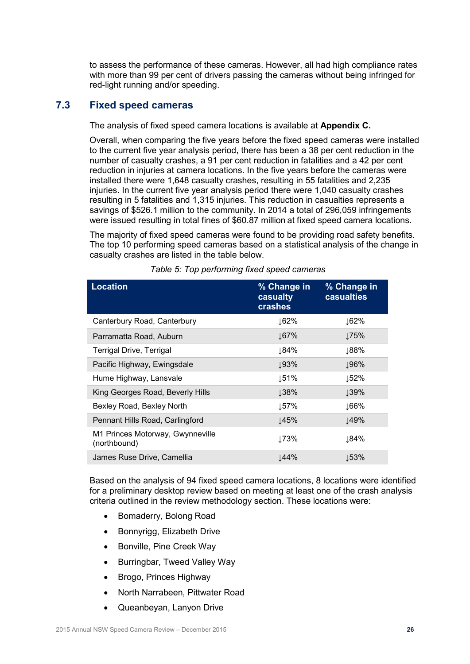to assess the performance of these cameras. However, all had high compliance rates with more than 99 per cent of drivers passing the cameras without being infringed for red-light running and/or speeding.

## <span id="page-25-0"></span>**7.3 Fixed speed cameras**

The analysis of fixed speed camera locations is available at **Appendix C.**

Overall, when comparing the five years before the fixed speed cameras were installed to the current five year analysis period, there has been a 38 per cent reduction in the number of casualty crashes, a 91 per cent reduction in fatalities and a 42 per cent reduction in injuries at camera locations. In the five years before the cameras were installed there were 1,648 casualty crashes, resulting in 55 fatalities and 2,235 injuries. In the current five year analysis period there were 1,040 casualty crashes resulting in 5 fatalities and 1,315 injuries. This reduction in casualties represents a savings of \$526.1 million to the community. In 2014 a total of 296,059 infringements were issued resulting in total fines of \$60.87 million at fixed speed camera locations.

The majority of fixed speed cameras were found to be providing road safety benefits. The top 10 performing speed cameras based on a statistical analysis of the change in casualty crashes are listed in the table below.

| <b>Location</b>                                  | % Change in<br>casualty<br>crashes | % Change in<br><b>casualties</b> |
|--------------------------------------------------|------------------------------------|----------------------------------|
| Canterbury Road, Canterbury                      | ↓62%                               | ↓62%                             |
| Parramatta Road, Auburn                          | $\frac{167}{6}$                    | 175%                             |
| <b>Terrigal Drive, Terrigal</b>                  | ↓84%                               | ↓88%                             |
| Pacific Highway, Ewingsdale                      | 193%                               | 196%                             |
| Hume Highway, Lansvale                           | $\downarrow$ 51%                   | ↓52%                             |
| King Georges Road, Beverly Hills                 | 138%                               | ↓39%                             |
| Bexley Road, Bexley North                        | $157\%$                            | $166\%$                          |
| Pennant Hills Road, Carlingford                  | 145%                               | $\downarrow$ 49%                 |
| M1 Princes Motorway, Gwynneville<br>(northbound) | ↓73%                               | ⊥84%                             |
| James Ruse Drive, Camellia                       | 144%                               | $\downarrow$ 53%                 |

*Table 5: Top performing fixed speed cameras*

Based on the analysis of 94 fixed speed camera locations, 8 locations were identified for a preliminary desktop review based on meeting at least one of the crash analysis criteria outlined in the review methodology section. These locations were:

- Bomaderry, Bolong Road
- Bonnyrigg, Elizabeth Drive
- Bonville, Pine Creek Way
- Burringbar, Tweed Valley Way
- Brogo, Princes Highway
- North Narrabeen, Pittwater Road
- Queanbeyan, Lanyon Drive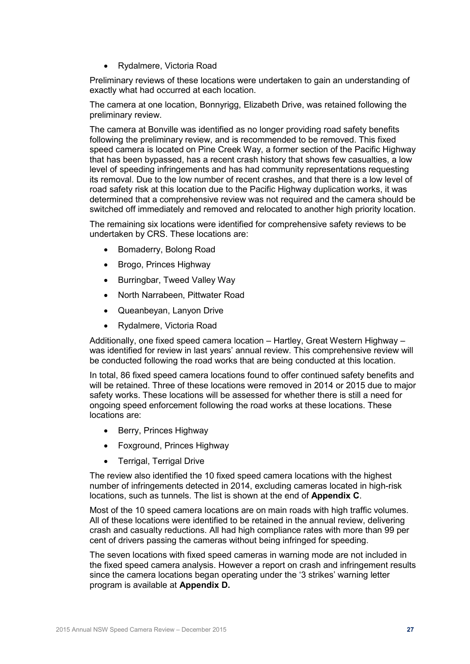• Rydalmere, Victoria Road

Preliminary reviews of these locations were undertaken to gain an understanding of exactly what had occurred at each location.

The camera at one location, Bonnyrigg, Elizabeth Drive, was retained following the preliminary review.

The camera at Bonville was identified as no longer providing road safety benefits following the preliminary review, and is recommended to be removed. This fixed speed camera is located on Pine Creek Way, a former section of the Pacific Highway that has been bypassed, has a recent crash history that shows few casualties, a low level of speeding infringements and has had community representations requesting its removal. Due to the low number of recent crashes, and that there is a low level of road safety risk at this location due to the Pacific Highway duplication works, it was determined that a comprehensive review was not required and the camera should be switched off immediately and removed and relocated to another high priority location.

The remaining six locations were identified for comprehensive safety reviews to be undertaken by CRS. These locations are:

- Bomaderry, Bolong Road
- Brogo, Princes Highway
- Burringbar, Tweed Valley Way
- North Narrabeen, Pittwater Road
- Queanbeyan, Lanyon Drive
- Rydalmere, Victoria Road

Additionally, one fixed speed camera location – Hartley, Great Western Highway – was identified for review in last years' annual review. This comprehensive review will be conducted following the road works that are being conducted at this location.

In total, 86 fixed speed camera locations found to offer continued safety benefits and will be retained. Three of these locations were removed in 2014 or 2015 due to major safety works. These locations will be assessed for whether there is still a need for ongoing speed enforcement following the road works at these locations. These locations are:

- Berry, Princes Highway
- Foxground, Princes Highway
- Terrigal, Terrigal Drive

The review also identified the 10 fixed speed camera locations with the highest number of infringements detected in 2014, excluding cameras located in high-risk locations, such as tunnels. The list is shown at the end of **Appendix C**.

Most of the 10 speed camera locations are on main roads with high traffic volumes. All of these locations were identified to be retained in the annual review, delivering crash and casualty reductions. All had high compliance rates with more than 99 per cent of drivers passing the cameras without being infringed for speeding.

The seven locations with fixed speed cameras in warning mode are not included in the fixed speed camera analysis. However a report on crash and infringement results since the camera locations began operating under the '3 strikes' warning letter program is available at **Appendix D.**